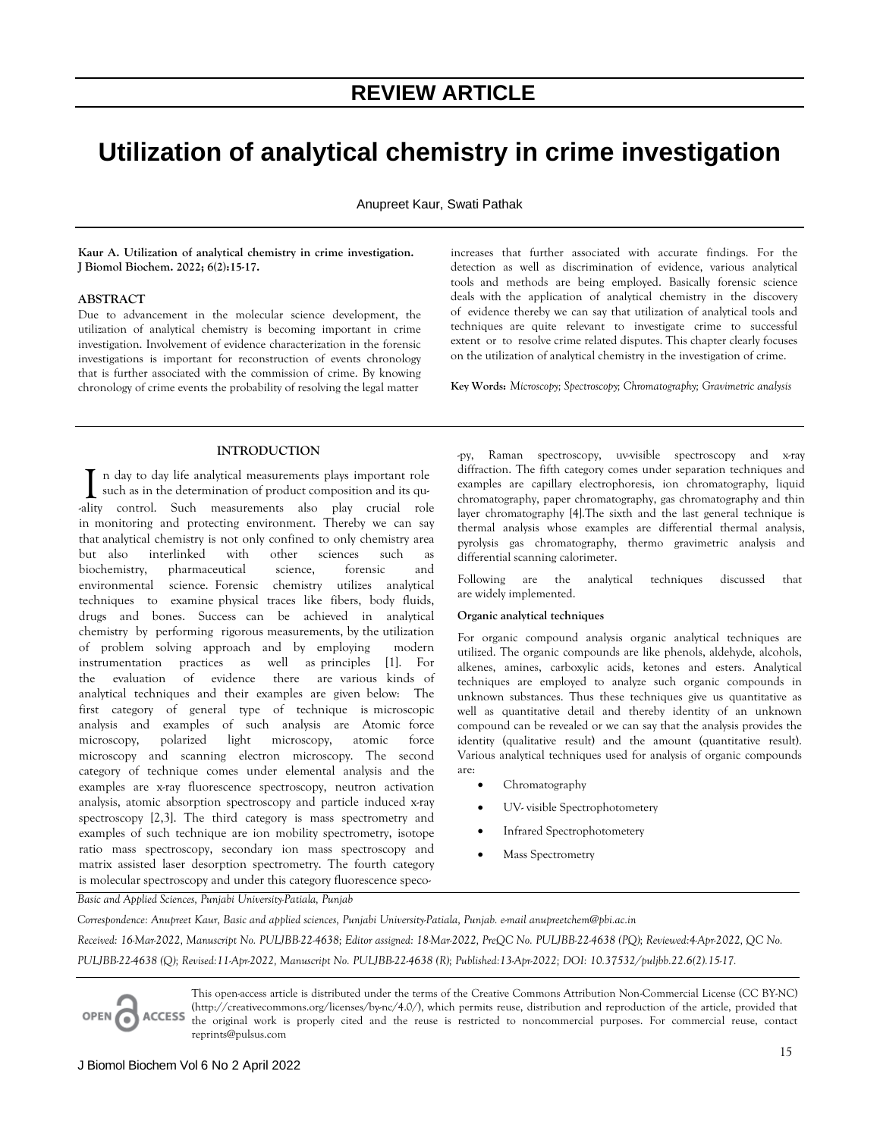# **Utilization of analytical chemistry in crime investigation**

Anupreet Kaur, Swati Pathak

**Kaur A. Utilization of analytical chemistry in crime investigation. J Biomol Biochem. 2022; 6(2):15-17.** 

### **ABSTRACT**

Due to advancement in the molecular science development, the utilization of analytical chemistry is becoming important in crime investigation. Involvement of evidence characterization in the forensic investigations is important for reconstruction of events chronology that is further associated with the commission of crime. By knowing chronology of crime events the probability of resolving the legal matter

increases that further associated with accurate findings. For the detection as well as discrimination of evidence, various analytical tools and methods are being employed. Basically forensic science deals with the application of analytical chemistry in the discovery of evidence thereby we can say that utilization of analytical tools and techniques are quite relevant to investigate crime to successful extent or to resolve crime related disputes. This chapter clearly focuses on the utilization of analytical chemistry in the investigation of crime.

**Key Words:** *Microscopy; Spectroscopy; Chromatography; Gravimetric analysis*

#### **INTRODUCTION**

n day to day life analytical measurements plays important role In day to day life analytical measurements plays important role<br>such as in the determination of product composition and its qu-<br>little control . Such measurements also play equated rol -ality control. Such measurements also play crucial role in monitoring and protecting environment. Thereby we can say that analytical chemistry is not only confined to only chemistry area but also interlinked with other sciences such as biochemistry, pharmaceutical science, forensic and environmental science. Forensic chemistry utilizes analytical techniques to examine physical traces like fibers, body fluids, drugs and bones. Success can be achieved in analytical chemistry by performing rigorous measurements, by the utilization of problem solving approach and by employing modern instrumentation practices as well as principles [1]. For the evaluation of evidence there are various kinds of analytical techniques and their examples are given below: The first category of general type of technique is microscopic analysis and examples of such analysis are Atomic force microscopy, polarized light microscopy, atomic force microscopy and scanning electron microscopy. The second category of technique comes under elemental analysis and the examples are x-ray fluorescence spectroscopy, neutron activation analysis, atomic absorption spectroscopy and particle induced x-ray spectroscopy [2,3]. The third category is mass spectrometry and examples of such technique are ion mobility spectrometry, isotope ratio mass spectroscopy, secondary ion mass spectroscopy and matrix assisted laser desorption spectrometry. The fourth category is molecular spectroscopy and under this category fluorescence speco-py, Raman spectroscopy, uv-visible spectroscopy and x-ray diffraction. The fifth category comes under separation techniques and examples are capillary electrophoresis, ion chromatography, liquid chromatography, paper chromatography, gas chromatography and thin layer chromatography [4].The sixth and the last general technique is thermal analysis whose examples are differential thermal analysis, pyrolysis gas chromatography, thermo gravimetric analysis and differential scanning calorimeter.

Following are the analytical techniques discussed that are widely implemented.

#### **Organic analytical techniques**

For organic compound analysis organic analytical techniques are utilized. The organic compounds are like phenols, aldehyde, alcohols, alkenes, amines, carboxylic acids, ketones and esters. Analytical techniques are employed to analyze such organic compounds in unknown substances. Thus these techniques give us quantitative as well as quantitative detail and thereby identity of an unknown compound can be revealed or we can say that the analysis provides the identity (qualitative result) and the amount (quantitative result). Various analytical techniques used for analysis of organic compounds are:

- Chromatography
- UV- visible Spectrophotometery
- Infrared Spectrophotometery
- Mass Spectrometry

*Basic and Applied Sciences, Punjabi University-Patiala, Punjab* 

*Correspondence: Anupreet Kaur, Basic and applied sciences, Punjabi University-Patiala, Punjab. e-mail anupreetchem@pbi.ac.in Received: 16-Mar-2022, Manuscript No. PULJBB-22-4638; Editor assigned: 18-Mar-2022, PreQC No. PULJBB-22-4638 (PQ); Reviewed:4-Apr-2022, QC No. PULJBB-22-4638 (Q); Revised:11-Apr-2022, Manuscript No. PULJBB-22-4638 (R); Published:13-Apr-2022; DOI: 10.37532/puljbb.22.6(2).15-17.*

This open-access article is distributed under the terms of the Creative Commons Attribution Non-Commercial License (CC BY-NC) (http://creativecommons.org/licenses/by-nc/4.0/), which permits reuse, distribution and reproduction of the article, provided that **ACCESS** the original work is properly cited and the reuse is restricted to noncommercial purposes. For commercial reuse, contact reprints@pulsus.com

OPEN C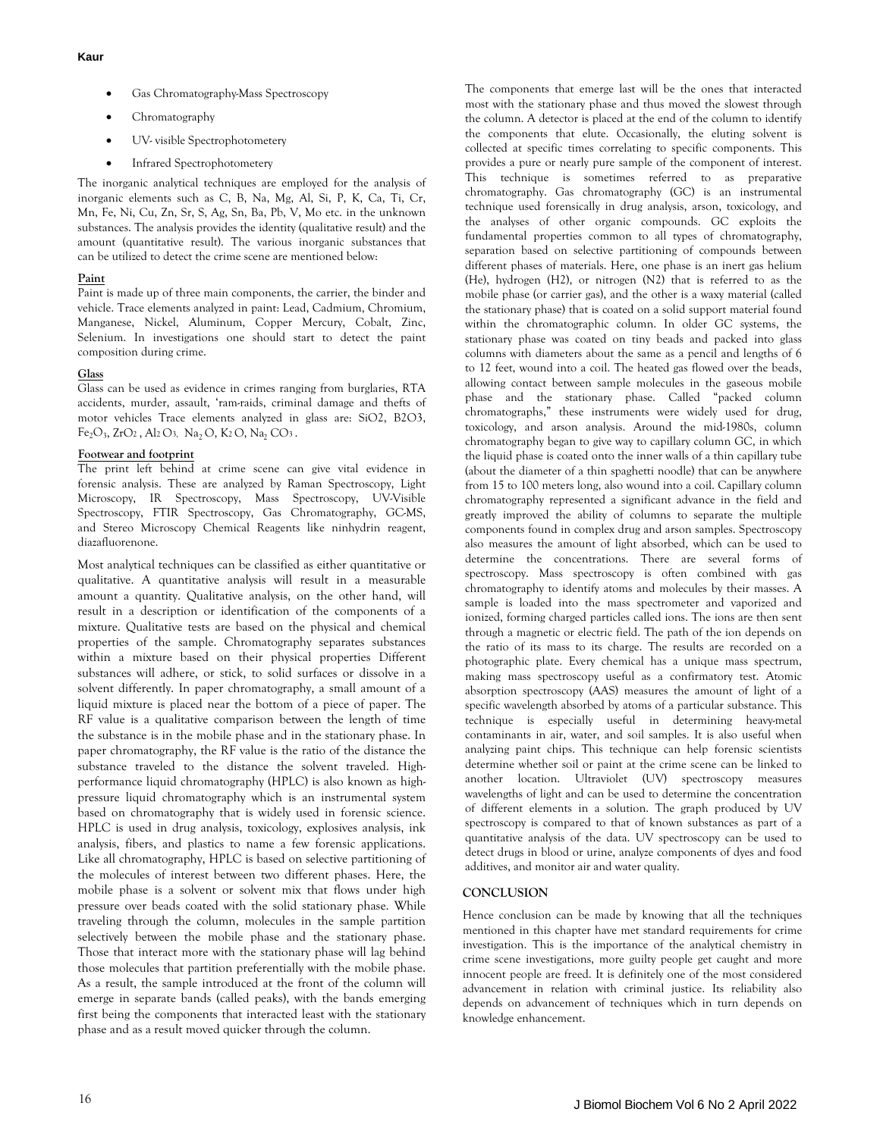- Gas Chromatography-Mass Spectroscopy
- Chromatography
- UV- visible Spectrophotometery
- Infrared Spectrophotometery

The inorganic analytical techniques are employed for the analysis of inorganic elements such as C, B, Na, Mg, Al, Si, P, K, Ca, Ti, Cr, Mn, Fe, Ni, Cu, Zn, Sr, S, Ag, Sn, Ba, Pb, V, Mo etc. in the unknown substances. The analysis provides the identity (qualitative result) and the amount (quantitative result). The various inorganic substances that can be utilized to detect the crime scene are mentioned below:

# **Paint**

Paint is made up of three main components, the carrier, the binder and vehicle. Trace elements analyzed in paint: Lead, Cadmium, Chromium, Manganese, Nickel, Aluminum, Copper Mercury, Cobalt, Zinc, Selenium. In investigations one should start to detect the paint composition during crime.

# **Glass**

Glass can be used as evidence in crimes ranging from burglaries, RTA accidents, murder, assault, 'ram-raids, criminal damage and thefts of motor vehicles Trace elements analyzed in glass are: SiO2, B2O3, Fe<sub>2</sub>O<sub>3</sub>, ZrO2, Al2O3, Na<sub>2</sub>O, K2O, Na<sub>2</sub>CO3.

# **Footwear and footprint**

The print left behind at crime scene can give vital evidence in forensic analysis. These are analyzed by Raman Spectroscopy, Light Microscopy, IR Spectroscopy, Mass Spectroscopy, UV-Visible Spectroscopy, FTIR Spectroscopy, Gas Chromatography, GC-MS, and Stereo Microscopy Chemical Reagents like ninhydrin reagent, diazafluorenone.

Most analytical techniques can be classified as either quantitative or qualitative. A quantitative analysis will result in a measurable amount a quantity. Qualitative analysis, on the other hand, will result in a description or identification of the components of a mixture. Qualitative tests are based on the physical and chemical properties of the sample. Chromatography separates substances within a mixture based on their physical properties Different substances will adhere, or stick, to solid surfaces or dissolve in a solvent differently. In paper chromatography, a small amount of a liquid mixture is placed near the bottom of a piece of paper. The RF value is a qualitative comparison between the length of time the substance is in the mobile phase and in the stationary phase. In paper chromatography, the RF value is the ratio of the distance the substance traveled to the distance the solvent traveled. Highperformance liquid chromatography (HPLC) is also known as highpressure liquid chromatography which is an instrumental system based on chromatography that is widely used in forensic science. HPLC is used in drug analysis, toxicology, explosives analysis, ink analysis, fibers, and plastics to name a few forensic applications. Like all chromatography, HPLC is based on selective partitioning of the molecules of interest between two different phases. Here, the mobile phase is a solvent or solvent mix that flows under high pressure over beads coated with the solid stationary phase. While traveling through the column, molecules in the sample partition selectively between the mobile phase and the stationary phase. Those that interact more with the stationary phase will lag behind those molecules that partition preferentially with the mobile phase. As a result, the sample introduced at the front of the column will emerge in separate bands (called peaks), with the bands emerging first being the components that interacted least with the stationary phase and as a result moved quicker through the column.

The components that emerge last will be the ones that interacted most with the stationary phase and thus moved the slowest through the column. A detector is placed at the end of the column to identify the components that elute. Occasionally, the eluting solvent is collected at specific times correlating to specific components. This provides a pure or nearly pure sample of the component of interest. This technique is sometimes referred to as preparative chromatography. Gas chromatography (GC) is an instrumental technique used forensically in drug analysis, arson, toxicology, and the analyses of other organic compounds. GC exploits the fundamental properties common to all types of chromatography, separation based on selective partitioning of compounds between different phases of materials. Here, one phase is an inert gas helium (He), hydrogen (H2), or nitrogen (N2) that is referred to as the mobile phase (or carrier gas), and the other is a waxy material (called the stationary phase) that is coated on a solid support material found within the chromatographic column. In older GC systems, the stationary phase was coated on tiny beads and packed into glass columns with diameters about the same as a pencil and lengths of 6 to 12 feet, wound into a coil. The heated gas flowed over the beads, allowing contact between sample molecules in the gaseous mobile phase and the stationary phase. Called "packed column chromatographs," these instruments were widely used for drug, toxicology, and arson analysis. Around the mid-1980s, column chromatography began to give way to capillary column GC, in which the liquid phase is coated onto the inner walls of a thin capillary tube (about the diameter of a thin spaghetti noodle) that can be anywhere from 15 to 100 meters long, also wound into a coil. Capillary column chromatography represented a significant advance in the field and greatly improved the ability of columns to separate the multiple components found in complex drug and arson samples. Spectroscopy also measures the amount of light absorbed, which can be used to determine the concentrations. There are several forms of spectroscopy. Mass spectroscopy is often combined with gas chromatography to identify atoms and molecules by their masses. A sample is loaded into the mass spectrometer and vaporized and ionized, forming charged particles called ions. The ions are then sent through a magnetic or electric field. The path of the ion depends on the ratio of its mass to its charge. The results are recorded on a photographic plate. Every chemical has a unique mass spectrum, making mass spectroscopy useful as a confirmatory test. Atomic absorption spectroscopy (AAS) measures the amount of light of a specific wavelength absorbed by atoms of a particular substance. This technique is especially useful in determining heavy-metal contaminants in air, water, and soil samples. It is also useful when analyzing paint chips. This technique can help forensic scientists determine whether soil or paint at the crime scene can be linked to another location. Ultraviolet (UV) spectroscopy measures wavelengths of light and can be used to determine the concentration of different elements in a solution. The graph produced by UV spectroscopy is compared to that of known substances as part of a quantitative analysis of the data. UV spectroscopy can be used to detect drugs in blood or urine, analyze components of dyes and food additives, and monitor air and water quality.

# **CONCLUSION**

Hence conclusion can be made by knowing that all the techniques mentioned in this chapter have met standard requirements for crime investigation. This is the importance of the analytical chemistry in crime scene investigations, more guilty people get caught and more innocent people are freed. It is definitely one of the most considered advancement in relation with criminal justice. Its reliability also depends on advancement of techniques which in turn depends on knowledge enhancement.